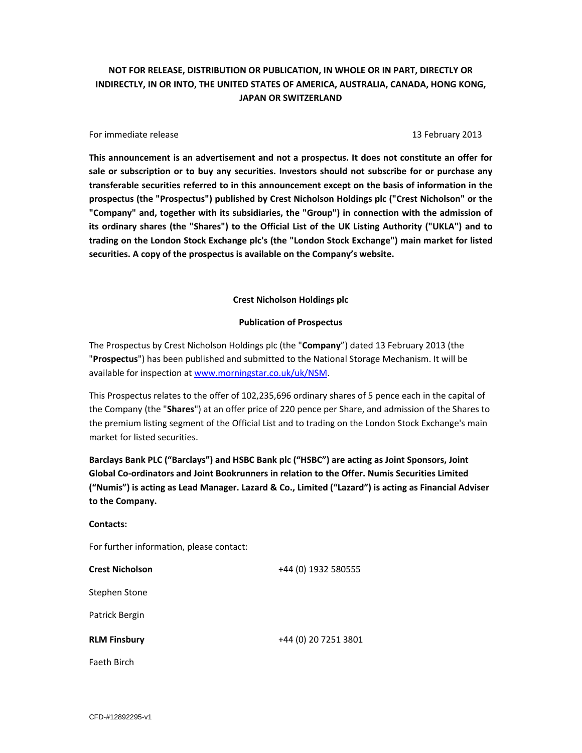## **NOT FOR RELEASE, DISTRIBUTION OR PUBLICATION, IN WHOLE OR IN PART, DIRECTLY OR INDIRECTLY, IN OR INTO, THE UNITED STATES OF AMERICA, AUSTRALIA, CANADA, HONG KONG, JAPAN OR SWITZERLAND**

#### For immediate release **13** February 2013

**This announcement is an advertisement and not a prospectus. It does not constitute an offer for sale or subscription or to buy any securities. Investors should not subscribe for or purchase any transferable securities referred to in this announcement except on the basis of information in the prospectus (the "Prospectus") published by Crest Nicholson Holdings plc ("Crest Nicholson" or the "Company" and, together with its subsidiaries, the "Group") in connection with the admission of its ordinary shares (the "Shares") to the Official List of the UK Listing Authority ("UKLA") and to trading on the London Stock Exchange plc's (the "London Stock Exchange") main market for listed securities. A copy of the prospectus is available on the Company's website.**

## **Crest Nicholson Holdings plc**

## **Publication of Prospectus**

The Prospectus by Crest Nicholson Holdings plc (the "**Company**") dated 13 February 2013 (the "**Prospectus**") has been published and submitted to the National Storage Mechanism. It will be available for inspection at www.morningstar.co.uk/uk/NSM.

This Prospectus relates to the offer of 102,235,696 ordinary shares of 5 pence each in the capital of the Company (the "**Shares**") at an offer price of 220 pence per Share, and admission of the Shares to the premium listing segment of the Official List and to trading on the London Stock Exchange's main market for listed securities.

# **Barclays Bank PLC ("Barclays") and HSBC Bank plc ("HSBC") are acting as Joint Sponsors, Joint Global Co‐ordinators and Joint Bookrunners in relation to the Offer. Numis Securities Limited ("Numis") is acting as Lead Manager. Lazard & Co., Limited ("Lazard") is acting as Financial Adviser to the Company.**

| <b>Contacts:</b>                         |                      |
|------------------------------------------|----------------------|
| For further information, please contact: |                      |
| <b>Crest Nicholson</b>                   | +44 (0) 1932 580555  |
| Stephen Stone                            |                      |
| Patrick Bergin                           |                      |
| <b>RLM Finsbury</b>                      | +44 (0) 20 7251 3801 |
| <b>Faeth Birch</b>                       |                      |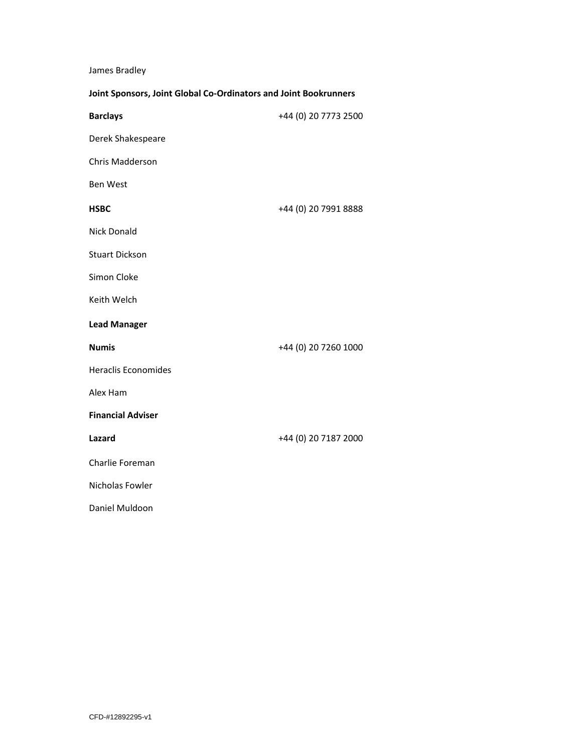# James Bradley

| Joint Sponsors, Joint Global Co-Ordinators and Joint Bookrunners |  |  |
|------------------------------------------------------------------|--|--|
|                                                                  |  |  |

| <b>Barclays</b>            | +44 (0) 20 7773 2500 |
|----------------------------|----------------------|
| Derek Shakespeare          |                      |
| Chris Madderson            |                      |
| <b>Ben West</b>            |                      |
| <b>HSBC</b>                | +44 (0) 20 7991 8888 |
| <b>Nick Donald</b>         |                      |
| <b>Stuart Dickson</b>      |                      |
| Simon Cloke                |                      |
| Keith Welch                |                      |
| <b>Lead Manager</b>        |                      |
|                            |                      |
| <b>Numis</b>               | +44 (0) 20 7260 1000 |
| <b>Heraclis Economides</b> |                      |
| Alex Ham                   |                      |
| <b>Financial Adviser</b>   |                      |
| Lazard                     | +44 (0) 20 7187 2000 |
| Charlie Foreman            |                      |
| Nicholas Fowler            |                      |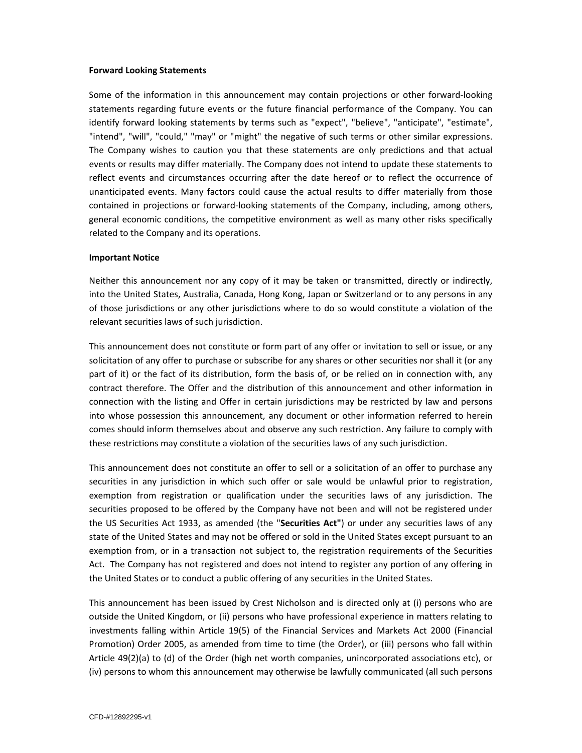## **Forward Looking Statements**

Some of the information in this announcement may contain projections or other forward‐looking statements regarding future events or the future financial performance of the Company. You can identify forward looking statements by terms such as "expect", "believe", "anticipate", "estimate", "intend", "will", "could," "may" or "might" the negative of such terms or other similar expressions. The Company wishes to caution you that these statements are only predictions and that actual events or results may differ materially. The Company does not intend to update these statements to reflect events and circumstances occurring after the date hereof or to reflect the occurrence of unanticipated events. Many factors could cause the actual results to differ materially from those contained in projections or forward‐looking statements of the Company, including, among others, general economic conditions, the competitive environment as well as many other risks specifically related to the Company and its operations.

#### **Important Notice**

Neither this announcement nor any copy of it may be taken or transmitted, directly or indirectly, into the United States, Australia, Canada, Hong Kong, Japan or Switzerland or to any persons in any of those jurisdictions or any other jurisdictions where to do so would constitute a violation of the relevant securities laws of such jurisdiction.

This announcement does not constitute or form part of any offer or invitation to sell or issue, or any solicitation of any offer to purchase or subscribe for any shares or other securities nor shall it (or any part of it) or the fact of its distribution, form the basis of, or be relied on in connection with, any contract therefore. The Offer and the distribution of this announcement and other information in connection with the listing and Offer in certain jurisdictions may be restricted by law and persons into whose possession this announcement, any document or other information referred to herein comes should inform themselves about and observe any such restriction. Any failure to comply with these restrictions may constitute a violation of the securities laws of any such jurisdiction.

This announcement does not constitute an offer to sell or a solicitation of an offer to purchase any securities in any jurisdiction in which such offer or sale would be unlawful prior to registration, exemption from registration or qualification under the securities laws of any jurisdiction. The securities proposed to be offered by the Company have not been and will not be registered under the US Securities Act 1933, as amended (the "**Securities Act"**) or under any securities laws of any state of the United States and may not be offered or sold in the United States except pursuant to an exemption from, or in a transaction not subject to, the registration requirements of the Securities Act. The Company has not registered and does not intend to register any portion of any offering in the United States or to conduct a public offering of any securities in the United States.

This announcement has been issued by Crest Nicholson and is directed only at (i) persons who are outside the United Kingdom, or (ii) persons who have professional experience in matters relating to investments falling within Article 19(5) of the Financial Services and Markets Act 2000 (Financial Promotion) Order 2005, as amended from time to time (the Order), or (iii) persons who fall within Article 49(2)(a) to (d) of the Order (high net worth companies, unincorporated associations etc), or (iv) persons to whom this announcement may otherwise be lawfully communicated (all such persons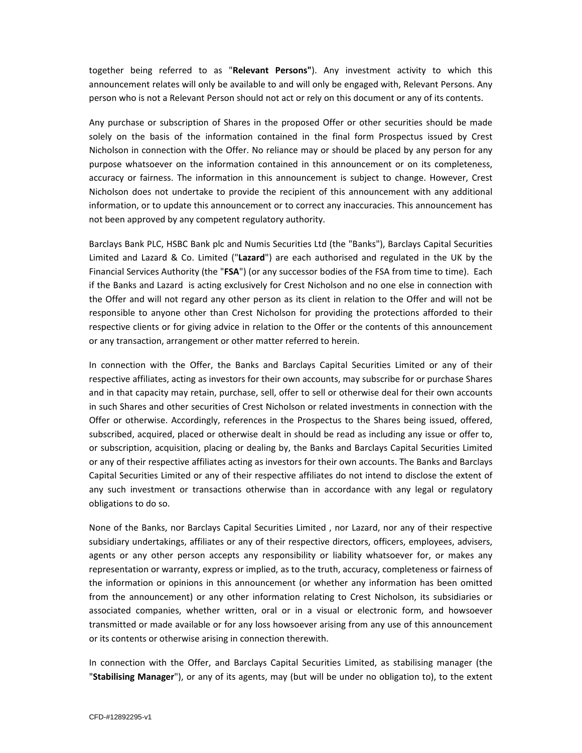together being referred to as "**Relevant Persons"**). Any investment activity to which this announcement relates will only be available to and will only be engaged with, Relevant Persons. Any person who is not a Relevant Person should not act or rely on this document or any of its contents.

Any purchase or subscription of Shares in the proposed Offer or other securities should be made solely on the basis of the information contained in the final form Prospectus issued by Crest Nicholson in connection with the Offer. No reliance may or should be placed by any person for any purpose whatsoever on the information contained in this announcement or on its completeness, accuracy or fairness. The information in this announcement is subject to change. However, Crest Nicholson does not undertake to provide the recipient of this announcement with any additional information, or to update this announcement or to correct any inaccuracies. This announcement has not been approved by any competent regulatory authority.

Barclays Bank PLC, HSBC Bank plc and Numis Securities Ltd (the "Banks"), Barclays Capital Securities Limited and Lazard & Co. Limited ("**Lazard**") are each authorised and regulated in the UK by the Financial Services Authority (the "**FSA**") (or any successor bodies of the FSA from time to time). Each if the Banks and Lazard is acting exclusively for Crest Nicholson and no one else in connection with the Offer and will not regard any other person as its client in relation to the Offer and will not be responsible to anyone other than Crest Nicholson for providing the protections afforded to their respective clients or for giving advice in relation to the Offer or the contents of this announcement or any transaction, arrangement or other matter referred to herein.

In connection with the Offer, the Banks and Barclays Capital Securities Limited or any of their respective affiliates, acting as investors for their own accounts, may subscribe for or purchase Shares and in that capacity may retain, purchase, sell, offer to sell or otherwise deal for their own accounts in such Shares and other securities of Crest Nicholson or related investments in connection with the Offer or otherwise. Accordingly, references in the Prospectus to the Shares being issued, offered, subscribed, acquired, placed or otherwise dealt in should be read as including any issue or offer to, or subscription, acquisition, placing or dealing by, the Banks and Barclays Capital Securities Limited or any of their respective affiliates acting as investors for their own accounts. The Banks and Barclays Capital Securities Limited or any of their respective affiliates do not intend to disclose the extent of any such investment or transactions otherwise than in accordance with any legal or regulatory obligations to do so.

None of the Banks, nor Barclays Capital Securities Limited , nor Lazard, nor any of their respective subsidiary undertakings, affiliates or any of their respective directors, officers, employees, advisers, agents or any other person accepts any responsibility or liability whatsoever for, or makes any representation or warranty, express or implied, as to the truth, accuracy, completeness or fairness of the information or opinions in this announcement (or whether any information has been omitted from the announcement) or any other information relating to Crest Nicholson, its subsidiaries or associated companies, whether written, oral or in a visual or electronic form, and howsoever transmitted or made available or for any loss howsoever arising from any use of this announcement or its contents or otherwise arising in connection therewith.

In connection with the Offer, and Barclays Capital Securities Limited, as stabilising manager (the "**Stabilising Manager**"), or any of its agents, may (but will be under no obligation to), to the extent